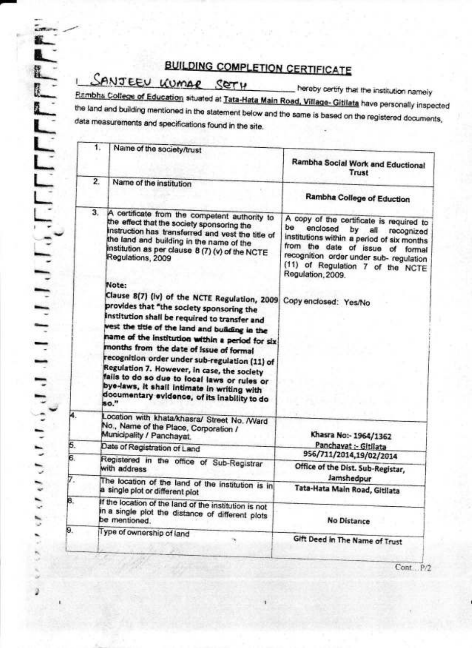### **BUILDING COMPLETION CERTIFICATE**

## SANJEEU KUMAR SETH

4

5.  $\overline{6}$ 

7.

8.

9.

hereby certify that the institution namely Rambha College of Education situated at Tata-Hata Main Road, Village- Gitilata have personally inspected the land and building mentioned in the statement below and the same is based on the registered documents, data measurements and specifications found in the site.

| 1.<br>Trust<br>$\overline{2}$ .<br>Name of the institution<br>Rambha College of Eduction<br>3.<br>A certificate from the competent authority to<br>the effect that the society sponsoring the<br>be<br>enclosed<br>by<br>all<br>instruction has transferred and vest the title of<br>the land and building in the name of the<br>institution as per clause 8 (7) (v) of the NCTE<br>Regulations, 2009<br>Regulation, 2009.<br>Note:<br>Clause 8(7) (iv) of the NCTE Regulation, 2009<br>Copy enclosed: Yes/No<br>provides that "the society sponsoring the<br>Institution shall be required to transfer and<br>west the title of the land and building in the<br>name of the institution within a period for six<br>months from the date of issue of formal<br>recognition order under sub-regulation (11) of<br>Regulation 7. However, in case, the society<br>fails to do so due to local laws or rules or<br>bye-laws, it shall intimate in writing with<br>documentary evidence, of its inability to do<br>80."<br>ocation with khata/khasra/ Street No. /Ward<br>No., Name of the Place, Corporation /<br>Municipality / Panchayat.<br>Khasra No:- 1964/1362<br>Panchayat :- Gitilata<br>Date of Registration of Land<br>956/711/2014,19/02/2014<br>Registered in the office of Sub-Registrar<br>Office of the Dist. Sub-Registar,<br>with address<br>Jamshedpur<br>The location of the land of the institution is in<br>Tata-Hata Main Road, Gitilata<br>a single plot or different plot<br>If the location of the land of the institution is not<br>in a single plot the distance of different plots<br>be mentioned.<br>No Distance<br>Type of ownership of land |                           |                                                                                                                                                                                                                         |
|--------------------------------------------------------------------------------------------------------------------------------------------------------------------------------------------------------------------------------------------------------------------------------------------------------------------------------------------------------------------------------------------------------------------------------------------------------------------------------------------------------------------------------------------------------------------------------------------------------------------------------------------------------------------------------------------------------------------------------------------------------------------------------------------------------------------------------------------------------------------------------------------------------------------------------------------------------------------------------------------------------------------------------------------------------------------------------------------------------------------------------------------------------------------------------------------------------------------------------------------------------------------------------------------------------------------------------------------------------------------------------------------------------------------------------------------------------------------------------------------------------------------------------------------------------------------------------------------------------------------------------------------------------------------------|---------------------------|-------------------------------------------------------------------------------------------------------------------------------------------------------------------------------------------------------------------------|
|                                                                                                                                                                                                                                                                                                                                                                                                                                                                                                                                                                                                                                                                                                                                                                                                                                                                                                                                                                                                                                                                                                                                                                                                                                                                                                                                                                                                                                                                                                                                                                                                                                                                          | Name of the society/trust | Rambha Social Work and Eductional                                                                                                                                                                                       |
|                                                                                                                                                                                                                                                                                                                                                                                                                                                                                                                                                                                                                                                                                                                                                                                                                                                                                                                                                                                                                                                                                                                                                                                                                                                                                                                                                                                                                                                                                                                                                                                                                                                                          |                           |                                                                                                                                                                                                                         |
|                                                                                                                                                                                                                                                                                                                                                                                                                                                                                                                                                                                                                                                                                                                                                                                                                                                                                                                                                                                                                                                                                                                                                                                                                                                                                                                                                                                                                                                                                                                                                                                                                                                                          |                           | A copy of the certificate is required to<br>recognized<br>institutions within a period of six months<br>from the date of issue of formal<br>recognition order under sub- regulation<br>(11) of Regulation 7 of the NCTE |
|                                                                                                                                                                                                                                                                                                                                                                                                                                                                                                                                                                                                                                                                                                                                                                                                                                                                                                                                                                                                                                                                                                                                                                                                                                                                                                                                                                                                                                                                                                                                                                                                                                                                          |                           |                                                                                                                                                                                                                         |
|                                                                                                                                                                                                                                                                                                                                                                                                                                                                                                                                                                                                                                                                                                                                                                                                                                                                                                                                                                                                                                                                                                                                                                                                                                                                                                                                                                                                                                                                                                                                                                                                                                                                          |                           |                                                                                                                                                                                                                         |
|                                                                                                                                                                                                                                                                                                                                                                                                                                                                                                                                                                                                                                                                                                                                                                                                                                                                                                                                                                                                                                                                                                                                                                                                                                                                                                                                                                                                                                                                                                                                                                                                                                                                          |                           |                                                                                                                                                                                                                         |
|                                                                                                                                                                                                                                                                                                                                                                                                                                                                                                                                                                                                                                                                                                                                                                                                                                                                                                                                                                                                                                                                                                                                                                                                                                                                                                                                                                                                                                                                                                                                                                                                                                                                          |                           |                                                                                                                                                                                                                         |
|                                                                                                                                                                                                                                                                                                                                                                                                                                                                                                                                                                                                                                                                                                                                                                                                                                                                                                                                                                                                                                                                                                                                                                                                                                                                                                                                                                                                                                                                                                                                                                                                                                                                          |                           |                                                                                                                                                                                                                         |
|                                                                                                                                                                                                                                                                                                                                                                                                                                                                                                                                                                                                                                                                                                                                                                                                                                                                                                                                                                                                                                                                                                                                                                                                                                                                                                                                                                                                                                                                                                                                                                                                                                                                          |                           |                                                                                                                                                                                                                         |
|                                                                                                                                                                                                                                                                                                                                                                                                                                                                                                                                                                                                                                                                                                                                                                                                                                                                                                                                                                                                                                                                                                                                                                                                                                                                                                                                                                                                                                                                                                                                                                                                                                                                          |                           | Gift Deed in The Name of Trust                                                                                                                                                                                          |

Cont. P/2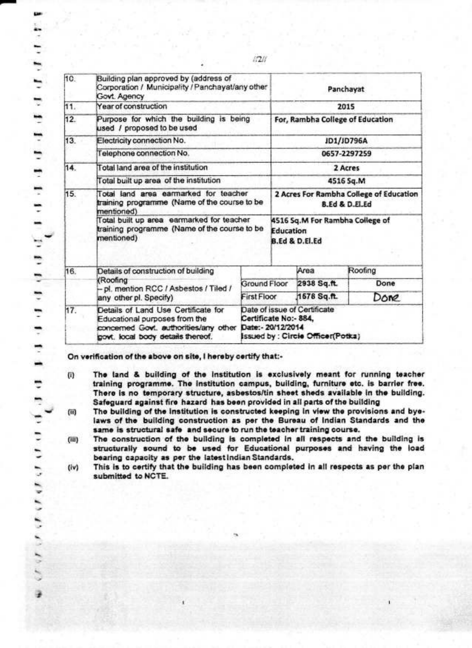| 10. | Building plan approved by (address of<br>Corporation / Municipality / Panchayat/any other<br>Govt. Agency                                          |              |                                                                                                                  | Panchayat                                                      |              |  |
|-----|----------------------------------------------------------------------------------------------------------------------------------------------------|--------------|------------------------------------------------------------------------------------------------------------------|----------------------------------------------------------------|--------------|--|
| 11. | Year of construction                                                                                                                               |              |                                                                                                                  |                                                                | 2015         |  |
| 12. | Purpose for which the building is being<br>used / proposed to be used                                                                              |              |                                                                                                                  | For, Rambha College of Education                               |              |  |
| 13. | Electricity connection No.                                                                                                                         |              | JD1/JD796A                                                                                                       |                                                                |              |  |
|     | Telephone connection No.                                                                                                                           |              |                                                                                                                  |                                                                | 0657-2297259 |  |
| 14. | Total land area of the institution                                                                                                                 |              |                                                                                                                  |                                                                | 2 Acres      |  |
|     | Total built up area of the institution                                                                                                             |              |                                                                                                                  |                                                                | 4516 Sq.M    |  |
| 15. | Total land area earmarked for teacher<br>training programme (Name of the course to be<br>mentioned)                                                |              | 2 Acres For Rambha College of Education<br><b>B.Ed &amp; D.Fl.Ed</b>                                             |                                                                |              |  |
|     | Total built up area earmarked for teacher<br>training programme (Name of the course to be<br>mentioned)                                            |              |                                                                                                                  | 4516 Sq.M For Rambha College of<br>Education<br>B.Ed & D.El.Ed |              |  |
| 16. | Details of construction of building                                                                                                                |              |                                                                                                                  | Area                                                           | Roofing      |  |
|     | (Roofing<br>- pl. mention RCC / Asbestos / Tiled /                                                                                                 | Ground Floor |                                                                                                                  | 2938 Sq.ft.                                                    | Done         |  |
|     | <b>First Floor</b><br>any other pl. Specify)                                                                                                       |              |                                                                                                                  | 1578 Sq.ft.                                                    | Done         |  |
| 17. | Details of Land Use Certificate for<br>Educational purposes from the<br>concerned Govt. authorities/any other<br>govt. local body details thereof. |              | Date of issue of Certificate<br>Certificate No:- 884,<br>Date: - 20/12/2014<br>Issued by : Circie Officen(Potka) |                                                                |              |  |

 $17211$ 

On verification of the above on site, I hereby certify that:-

د اعتلال العالية الحاملية العاملية العاملية العاملية العاملية العاملية التام العاملية التاملية التاملية التامل

- The land & building of the institution is exclusively meant for running teacher  $(1)$ training programme. The institution campus, building, furniture etc. is barrier free. There is no temporary structure, asbestos/tin sheet sheds available in the building. Safeguard against fire hazard has been provided in all parts of the building
- The building of the institution is constructed keeping in view the provisions and bye- $(ii)$ laws of the building construction as per the Bureau of Indian Standards and the same is structural safe and secure to run the teacher training course.
- The construction of the building is completed in all respects and the building is  $(iii)$ structurally sound to be used for Educational purposes and having the load bearing capacity as per the latest Indian Standards.
- This is to certify that the building has been completed in all respects as per the plan  $(iv)$ submitted to NCTE.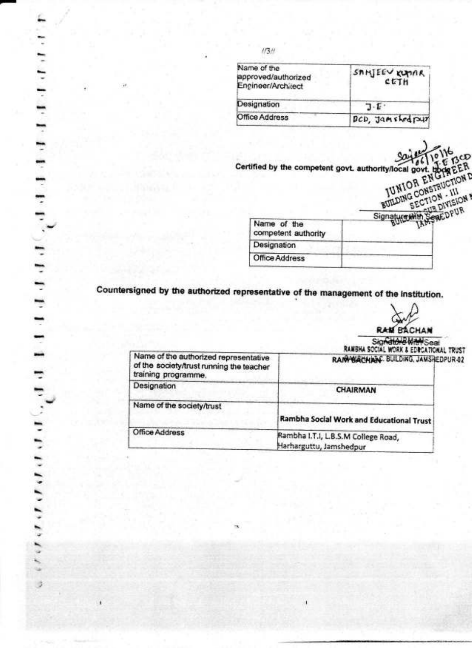| Name of the<br>approved/authorized<br>Engineer/Architect | SAMJEEV KUMAR<br>CETH          |  |  |
|----------------------------------------------------------|--------------------------------|--|--|
| Designation                                              | 7 E .                          |  |  |
| Office Address                                           | <b><i>BCD</i></b> , Jamshedpur |  |  |

Certified by the competent govt. authority/local govt. Hope EER<br>
IUNIOR ENGINEER<br>
IUNIOR ENGINEER EER

|                                    | .<br>$U_{M,12}$      |
|------------------------------------|----------------------|
|                                    | PAEDPUR<br>Signature |
| Name of the<br>competent authority |                      |
| Designation                        |                      |
| Office Address                     |                      |
|                                    |                      |

Countersigned by the authorized representative of the management of the institution.

 $\overline{\phantom{a}}$ 

d

**RAM BACHAN** 

Signatore With Sea

|                                                                                                          | RAMBHA SOCIAL WORK & EDICATIONAL TRUST                         |
|----------------------------------------------------------------------------------------------------------|----------------------------------------------------------------|
| Name of the authorized representative<br>of the society/trust running the teacher<br>training programme. | RANYBACHANC. BUILDING, JAMSHEDPUR-02                           |
| Designation                                                                                              | CHAIRMAN                                                       |
| Name of the society/trust                                                                                | Rambha Social Work and Educational Trust                       |
| Office Address                                                                                           | Rambha I.T.I, L.B.S.M College Road,<br>Harharguttu, Jamshedpur |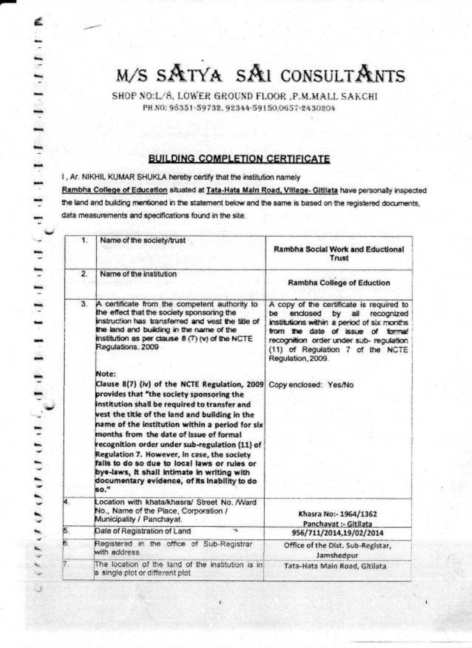# M/S SATYA SAI CONSULTANTS

SHOP NO:L/8, LOWER GROUND FLOOR ,P.M.MALL SAKCHI PH.NO: 98351-59732. 92344-59150.0657-2430204

#### **BUILDING COMPLETION CERTIFICATE**

I, Ar. NIKHIL KUMAR SHUKLA hereby certify that the institution namely Rambha College of Education situated at Tata-Hata Main Road, Village- Gitilata have personally inspected the land and building mentioned in the statement below and the same is based on the registered documents, data measurements and specifications found in the site.

| 1.             | Name of the society/trust                                                                                                                                                                                                                                                                                                                                                                                                                                                                                                                                    |                                                                                                                                                                                                                                                                             |
|----------------|--------------------------------------------------------------------------------------------------------------------------------------------------------------------------------------------------------------------------------------------------------------------------------------------------------------------------------------------------------------------------------------------------------------------------------------------------------------------------------------------------------------------------------------------------------------|-----------------------------------------------------------------------------------------------------------------------------------------------------------------------------------------------------------------------------------------------------------------------------|
|                |                                                                                                                                                                                                                                                                                                                                                                                                                                                                                                                                                              | Rambha Social Work and Eductional<br>Trust                                                                                                                                                                                                                                  |
| $\overline{2}$ | Name of the institution                                                                                                                                                                                                                                                                                                                                                                                                                                                                                                                                      | <b>Rambha College of Eduction</b>                                                                                                                                                                                                                                           |
| 3.             | A certificate from the competent authority to<br>the effect that the society sponsoring the<br>instruction has transferred and vest the title of<br>the land and building in the name of the<br>institution as per clause 8 (7) (v) of the NCTE<br>Regulations, 2009                                                                                                                                                                                                                                                                                         | A copy of the certificate is required to<br>enclosed<br>all<br>be<br>by<br>recognized<br>institutions within a period of six months<br>from the date of issue of formal<br>recognition order under sub- regulation<br>(11) of Regulation 7 of the NCTE<br>Regulation, 2009. |
|                | Note:<br>Clause 8(7) (iv) of the NCTE Regulation, 2009<br>provides that "the society sponsoring the<br>institution shall be required to transfer and<br>vest the title of the land and building in the<br>name of the institution within a period for six<br>months from the date of issue of formal<br>recognition order under sub-regulation (11) of<br>Regulation 7. However, in case, the society<br>fails to do so due to local laws or rules or<br>bye-laws, it shall intimate in writing with<br>documentary evidence, of its inability to do<br>so." | Copy enclosed: Yes/No                                                                                                                                                                                                                                                       |
| 4.             | Location with khata/khasra/ Street No. /Ward<br>No., Name of the Place, Corporation /<br>Municipality / Panchayat.                                                                                                                                                                                                                                                                                                                                                                                                                                           | Khasra No:- 1964/1362<br>Panchavat :- Gitilata                                                                                                                                                                                                                              |
| 5.             | Date of Registration of Land<br>$\mathbf{r}$                                                                                                                                                                                                                                                                                                                                                                                                                                                                                                                 | 956/711/2014.19/02/2014                                                                                                                                                                                                                                                     |
| ŝ.             | Registered in the office of Sub-Registrar<br>with address                                                                                                                                                                                                                                                                                                                                                                                                                                                                                                    | Office of the Dist. Sub-Registar,<br>Jamshedpur                                                                                                                                                                                                                             |
| Τ.             | The location of the land of the institution is in<br>a single plot or different plot                                                                                                                                                                                                                                                                                                                                                                                                                                                                         | Tata-Hata Main Road, Gitilata                                                                                                                                                                                                                                               |

, which is the first political density of  $\mathbf{F}^{\mathbf{d}}$  , is an interesting of  $\mathbf{F}^{\mathbf{d}}$  , is as in the first order of  $\mathbf{F}^{\mathbf{d}}$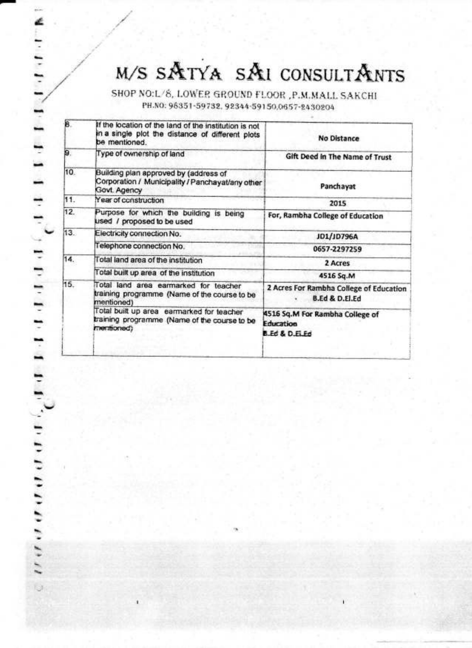# M/S SATYA SAI CONSULTANTS

SHOP NO:L/8, LOWER GROUND FLOOR ,P.M.MALL SAKCHI PH.NO: 96351-59732, 92344-59150,0657-2430204

| 8.  | If the location of the land of the institution is not<br>in a single plot the distance of different plots<br>be mentioned. | No Distance                                                          |
|-----|----------------------------------------------------------------------------------------------------------------------------|----------------------------------------------------------------------|
| 9.  | Type of ownership of land                                                                                                  | Gift Deed in The Name of Trust                                       |
| 10. | Building plan approved by (address of<br>Corporation / Municipality / Panchayat/any other<br>Govt. Agency                  | Panchayat                                                            |
| 11. | Year of construction                                                                                                       | 2015                                                                 |
| 12. | Purpose for which the building is being<br>used / proposed to be used                                                      | For, Rambha College of Education                                     |
| 13. | Electricity connection No.                                                                                                 | JD1/JD796A                                                           |
|     | Telephone connection No.                                                                                                   | 0657-2297259                                                         |
| 14. | Total land area of the institution                                                                                         | 2 Acres                                                              |
|     | Total built up area of the institution                                                                                     | 4516 Sq.M                                                            |
| 15. | Total land area earmarked for teacher<br>training programme (Name of the course to be<br>mentioned)                        | 2 Acres For Rambha College of Education<br><b>B.Ed &amp; D.El.Ed</b> |
|     | Total built up area earmarked for teacher<br>training programme (Name of the course to be<br>memboned)                     | 4516 Sq.M For Rambha College of<br><b>Education</b><br>B.Ed & D.ELEd |
|     |                                                                                                                            |                                                                      |

retels is the there is the following the following and controlled the control of the control of the control of the control of the control of the control of the control of the control of the control of the control of the co

 $\mathbf{G}$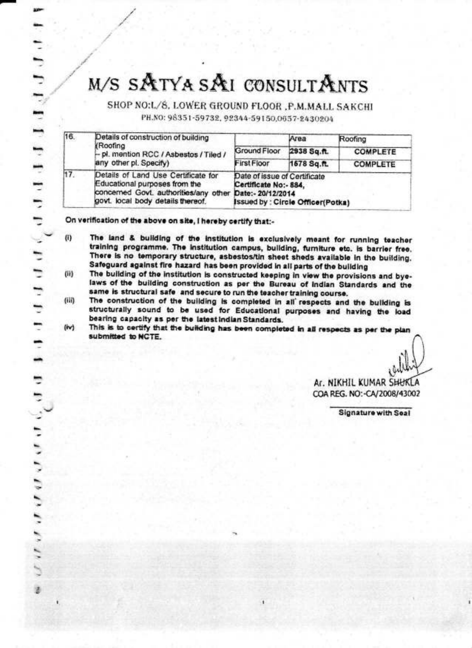## M/S SATYA SAI CONSULTANTS

SHOP NO:L/S, LOWER GROUND FLOOR , P.M.MALL SAKCHI

PH.NO: 98351-59732, 92344-59150,0657-2430204

| 16. | Details of construction of building<br><b>Roofing</b><br>- pl. mention RCC / Asbestos / Tiled /<br>any other pl. Specify)                                            |                                                                                                  | Area        | Roofing         |
|-----|----------------------------------------------------------------------------------------------------------------------------------------------------------------------|--------------------------------------------------------------------------------------------------|-------------|-----------------|
|     |                                                                                                                                                                      | Ground Floor                                                                                     | 2938 Sq.ft. | <b>COMPLETE</b> |
|     |                                                                                                                                                                      | <b>First Floor</b>                                                                               | 1578 Sq.ft. | <b>COMPLETE</b> |
| 17. | Details of Land Use Certificate for<br>Educational purposes from the<br>concerned Govt. authorities/any other Date:- 20/12/2014<br>govt. local body details thereof. | Date of issue of Certificate<br>Certificate No:- 884,<br><b>Issued by: Circle Officer(Potka)</b> |             |                 |

On verification of the above on site, I hereby certify that:-

is a contrary popertial construction of the contrary of the contrary of the contrary of the contrary of the contrary of the contrary of  $\mathcal{A}$ 

- $(i)$ The land & building of the institution is exclusively meant for running teacher training programme. The institution campus, building, furniture etc. is barrier free. There is no temporary structure, asbestos/tin sheet sheds available in the building. Safeguard against fire hazard has been provided in all parts of the building
- The building of the institution is constructed keeping in view the provisions and bye-(ii) laws of the building construction as per the Bureau of Indian Standards and the same is structural safe and secure to run the teacher training course.
- $(iii)$ The construction of the building is completed in all respects and the building is structurally sound to be used for Educational purposes and having the load bearing capacity as per the latest indian Standards.
- (iv) This is to certify that the building has been completed in all respects as per the plan submitted to NCTE.

Ar. NIKHIL KUMAR SHUKLA COA REG. NO:-CA/2008/43002

Signature with Seal